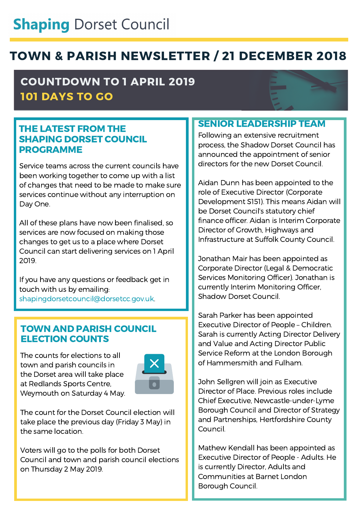# **Shaping Dorset Council**

## TOWN & PARISH NEWSLETTER / 21 DECEMBER 2018

### COUNTDOWN TO 1 APRIL 2019 101 DAYS TO GO

#### THE LATEST FROM THE SHAPING DORSET COUNCIL PROGRAMME

Service teams across the current councils have been working together to come up with a list of changes that need to be made to make sure services continue without any interruption on Day One.

All of these plans have now been finalised, so services are now focused on making those changes to get us to a place where Dorset Council can start delivering services on 1 April 2019.

If you have any questions or feedback get in touch with us by emailing: [shapingdorsetcouncil@dorsetcc.gov.uk.](http://dorsetareacouncils.wordpress.com/)

#### TOWN AND PARISH COUNCIL ELECTION COUNTS

The counts for elections to all town and parish councils in the Dorset area will take place at Redlands Sports Centre, Weymouth on Saturday 4 May.



The count for the Dorset Council election will take place the previous day (Friday 3 May) in the same location.

Voters will go to the polls for both Dorset Council and town and parish council elections on Thursday 2 May 2019.

#### SENIOR LEADERSHIP TEAM

Following an extensive recruitment process, the Shadow Dorset Council has announced the appointment of senior directors for the new Dorset Council.

Aidan Dunn has been appointed to the role of Executive Director (Corporate Development S151). This means Aidan will be Dorset Council's statutory chief finance officer. Aidan is Interim Corporate Director of Growth, Highways and Infrastructure at Suffolk County Council.

Jonathan Mair has been appointed as Corporate Director (Legal & Democratic Services Monitoring Officer). Jonathan is currently Interim Monitoring Officer, Shadow Dorset Council.

Sarah Parker has been appointed Executive Director of People – Children. Sarah is currently Acting Director Delivery and Value and Acting Director Public Service Reform at the London Borough of Hammersmith and Fulham.

John Sellgren will join as Executive Director of Place. Previous roles include Chief Executive, Newcastle-under-Lyme Borough Council and Director of Strategy and Partnerships, Hertfordshire County Council.

Mathew Kendall has been appointed as Executive Director of People - Adults. He is currently Director, Adults and Communities at Barnet London Borough Council.